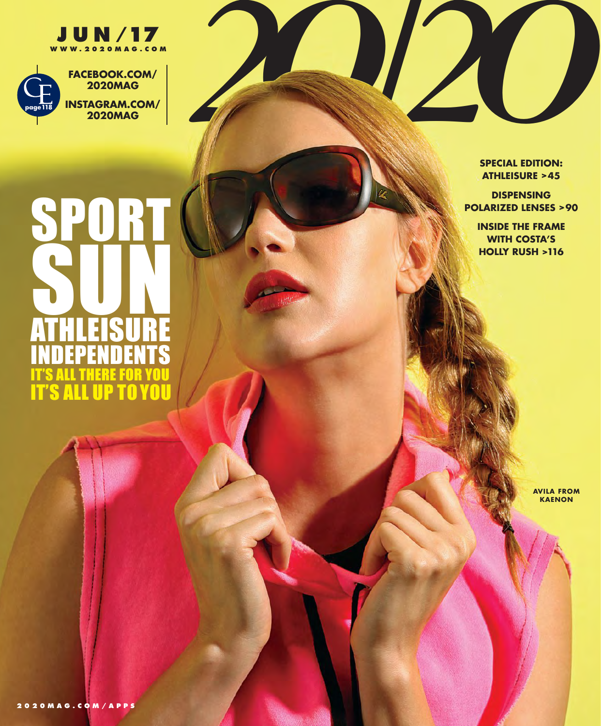



## SPORT SUN. ATHLEISURE INDEPENDENTS S ALL THERE FO **IT'S ALL UP TO YOU**

**SPECIAL EDITION: ATHLEISURE >45**

**DISPENSING POLARIZED LENSES >90**

**INSIDE THE FRAME WITH COSTA'S HOLLY RUSH >116**

> **AVILA FROM KAENON**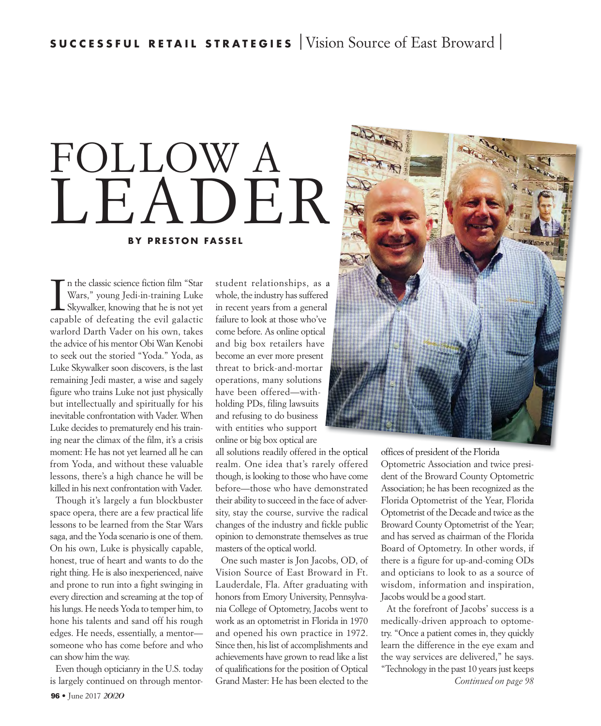## **BY PRESTON FASSEL** FOLLOW A LEADER

In the classic science fiction film "Star<br>Wars," young Jedi-in-training Luke<br>Skywalker, knowing that he is not yet<br>capable of defeating the evil galactic n the classic science fiction film "Star Wars," young Jedi-in-training Luke Skywalker, knowing that he is not yet warlord Darth Vader on his own, takes the advice of his mentor Obi Wan Kenobi to seek out the storied "Yoda." Yoda, as Luke Skywalker soon discovers, is the last remaining Jedi master, a wise and sagely figure who trains Luke not just physically but intellectually and spiritually for his inevitable confrontation with Vader. When Luke decides to prematurely end his training near the climax of the film, it's a crisis moment: He has not yet learned all he can from Yoda, and without these valuable lessons, there's a high chance he will be killed in his next confrontation with Vader.

Though it's largely a fun blockbuster space opera, there are a few practical life lessons to be learned from the Star Wars saga, and the Yoda scenario is one of them. On his own, Luke is physically capable, honest, true of heart and wants to do the right thing. He is also inexperienced, naive and prone to run into a fight swinging in every direction and screaming at the top of his lungs. He needs Yoda to temper him, to hone his talents and sand off his rough edges. He needs, essentially, a mentor someone who has come before and who can show him the way.

Even though opticianry in the U.S. today is largely continued on through mentor-

student relationships, as a a whole, the industry has suffered in recent years from a general failure to look at those who've come before. As online optical l and big box retailers have become an ever more present threat to brick-and-mortar operations, many solutions have been offered—withholding PDs, filing lawsuits and refusing to do business with entities who support online or big box optical are

all solutions readily offered in the optical realm. One idea that's rarely offered though, is looking to those who have come before—those who have demonstrated their ability to succeed in the face of adversity, stay the course, survive the radical changes of the industry and fickle public opinion to demonstrate themselves as true masters of the optical world.

One such master is Jon Jacobs, OD, of Vision Source of East Broward in Ft. Lauderdale, Fla. After graduating with honors from Emory University, Pennsylvania College of Optometry, Jacobs went to work as an optometrist in Florida in 1970 and opened his own practice in 1972. Since then, his list of accomplishments and achievements have grown to read like a list of qualifications for the position of Optical Grand Master: He has been elected to the



n the optical offices of president of the Florida Optometric Association and twice president of the Broward County Optometric Association; he has been recognized as the Florida Optometrist of the Year, Florida Optometrist of the Decade and twice as the Broward County Optometrist of the Year; and has served as chairman of the Florida Board of Optometry. In other words, if there is a figure for up-and-coming ODs and opticians to look to as a source of wisdom, information and inspiration, Jacobs would be a good start.

> At the forefront of Jacobs' success is a medically-driven approach to optometry. "Once a patient comes in, they quickly learn the difference in the eye exam and the way services are delivered," he says. "Technology in the past 10 years just keeps *Continued on page 98*